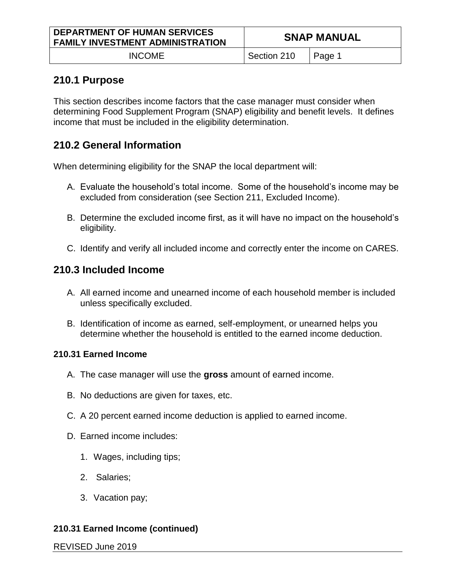| <b>DEPARTMENT OF HUMAN SERVICES</b><br><b>FAMILY INVESTMENT ADMINISTRATION</b> | <b>SNAP MANUAL</b> |          |
|--------------------------------------------------------------------------------|--------------------|----------|
| <b>INCOME</b>                                                                  | Section 210        | l Page 1 |

# **210.1 Purpose**

This section describes income factors that the case manager must consider when determining Food Supplement Program (SNAP) eligibility and benefit levels. It defines income that must be included in the eligibility determination.

# **210.2 General Information**

When determining eligibility for the SNAP the local department will:

- A. Evaluate the household's total income. Some of the household's income may be excluded from consideration (see Section 211, Excluded Income).
- B. Determine the excluded income first, as it will have no impact on the household's eligibility.
- C. Identify and verify all included income and correctly enter the income on CARES.

# **210.3 Included Income**

- A. All earned income and unearned income of each household member is included unless specifically excluded.
- B. Identification of income as earned, self-employment, or unearned helps you determine whether the household is entitled to the earned income deduction.

## **210.31 Earned Income**

- A. The case manager will use the **gross** amount of earned income.
- B. No deductions are given for taxes, etc.
- C. A 20 percent earned income deduction is applied to earned income.
- D. Earned income includes:
	- 1. Wages, including tips;
	- 2. Salaries;
	- 3. Vacation pay;

# **210.31 Earned Income (continued)**

REVISED June 2019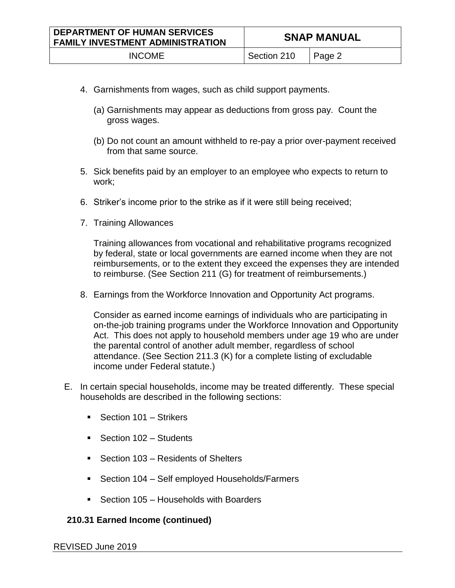| <b>DEPARTMENT OF HUMAN SERVICES</b><br><b>FAMILY INVESTMENT ADMINISTRATION</b> | <b>SNAP MANUAL</b> |          |
|--------------------------------------------------------------------------------|--------------------|----------|
| <b>INCOME</b>                                                                  | Section 210        | ∣ Page 2 |

- 4. Garnishments from wages, such as child support payments.
	- (a) Garnishments may appear as deductions from gross pay. Count the gross wages.
	- (b) Do not count an amount withheld to re-pay a prior over-payment received from that same source.
- 5. Sick benefits paid by an employer to an employee who expects to return to work;
- 6. Striker's income prior to the strike as if it were still being received;
- 7. Training Allowances

Training allowances from vocational and rehabilitative programs recognized by federal, state or local governments are earned income when they are not reimbursements, or to the extent they exceed the expenses they are intended to reimburse. (See Section 211 (G) for treatment of reimbursements.)

8. Earnings from the Workforce Innovation and Opportunity Act programs.

Consider as earned income earnings of individuals who are participating in on-the-job training programs under the Workforce Innovation and Opportunity Act. This does not apply to household members under age 19 who are under the parental control of another adult member, regardless of school attendance. (See Section 211.3 (K) for a complete listing of excludable income under Federal statute.)

- E. In certain special households, income may be treated differently. These special households are described in the following sections:
	- Section 101 Strikers
	- Section 102 Students
	- Section 103 Residents of Shelters
	- Section 104 Self employed Households/Farmers
	- Section 105 Households with Boarders

## **210.31 Earned Income (continued)**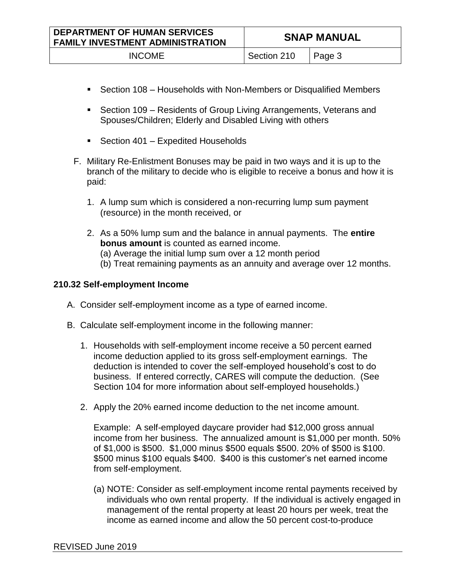| <b>DEPARTMENT OF HUMAN SERVICES</b><br><b>FAMILY INVESTMENT ADMINISTRATION</b> | <b>SNAP MANUAL</b> |        |
|--------------------------------------------------------------------------------|--------------------|--------|
| <b>INCOME</b>                                                                  | Section 210        | Page 3 |

- Section 108 Households with Non-Members or Disqualified Members
- Section 109 Residents of Group Living Arrangements, Veterans and Spouses/Children; Elderly and Disabled Living with others
- Section 401 Expedited Households
- F. Military Re-Enlistment Bonuses may be paid in two ways and it is up to the branch of the military to decide who is eligible to receive a bonus and how it is paid:
	- 1. A lump sum which is considered a non-recurring lump sum payment (resource) in the month received, or
	- 2. As a 50% lump sum and the balance in annual payments. The **entire bonus amount** is counted as earned income. (a) Average the initial lump sum over a 12 month period (b) Treat remaining payments as an annuity and average over 12 months.

# **210.32 Self-employment Income**

- A. Consider self-employment income as a type of earned income.
- B. Calculate self-employment income in the following manner:
	- 1. Households with self-employment income receive a 50 percent earned income deduction applied to its gross self-employment earnings. The deduction is intended to cover the self-employed household's cost to do business. If entered correctly, CARES will compute the deduction. (See Section 104 for more information about self-employed households.)
	- 2. Apply the 20% earned income deduction to the net income amount.

Example: A self-employed daycare provider had \$12,000 gross annual income from her business. The annualized amount is \$1,000 per month. 50% of \$1,000 is \$500. \$1,000 minus \$500 equals \$500. 20% of \$500 is \$100. \$500 minus \$100 equals \$400. \$400 is this customer's net earned income from self-employment.

(a) NOTE: Consider as self-employment income rental payments received by individuals who own rental property. If the individual is actively engaged in management of the rental property at least 20 hours per week, treat the income as earned income and allow the 50 percent cost-to-produce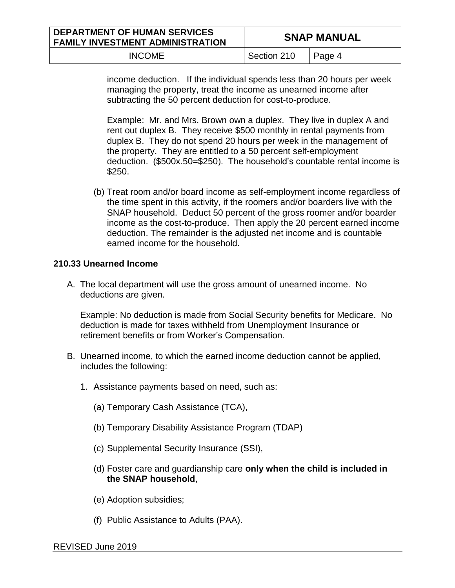| <b>DEPARTMENT OF HUMAN SERVICES</b><br><b>FAMILY INVESTMENT ADMINISTRATION</b> | <b>SNAP MANUAL</b> |                |
|--------------------------------------------------------------------------------|--------------------|----------------|
| <b>INCOME</b>                                                                  | Section 210        | $\vert$ Page 4 |

income deduction. If the individual spends less than 20 hours per week managing the property, treat the income as unearned income after subtracting the 50 percent deduction for cost-to-produce.

Example: Mr. and Mrs. Brown own a duplex. They live in duplex A and rent out duplex B. They receive \$500 monthly in rental payments from duplex B. They do not spend 20 hours per week in the management of the property. They are entitled to a 50 percent self-employment deduction. (\$500x.50=\$250). The household's countable rental income is \$250.

(b) Treat room and/or board income as self-employment income regardless of the time spent in this activity, if the roomers and/or boarders live with the SNAP household. Deduct 50 percent of the gross roomer and/or boarder income as the cost-to-produce. Then apply the 20 percent earned income deduction. The remainder is the adjusted net income and is countable earned income for the household.

## **210.33 Unearned Income**

A. The local department will use the gross amount of unearned income. No deductions are given.

Example: No deduction is made from Social Security benefits for Medicare. No deduction is made for taxes withheld from Unemployment Insurance or retirement benefits or from Worker's Compensation.

- B. Unearned income, to which the earned income deduction cannot be applied, includes the following:
	- 1. Assistance payments based on need, such as:
		- (a) Temporary Cash Assistance (TCA),
		- (b) Temporary Disability Assistance Program (TDAP)
		- (c) Supplemental Security Insurance (SSI),
		- (d) Foster care and guardianship care **only when the child is included in the SNAP household**,
		- (e) Adoption subsidies;
		- (f) Public Assistance to Adults (PAA).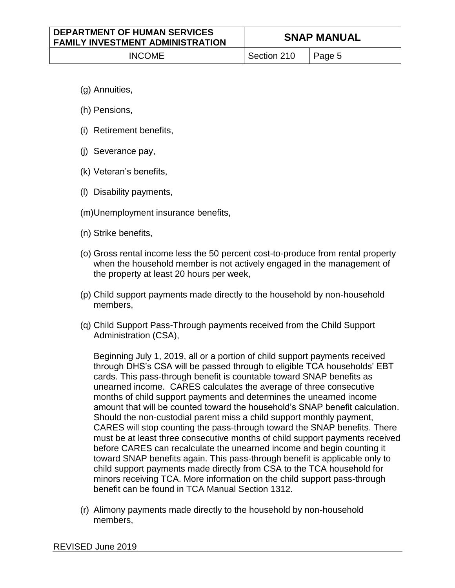- (g) Annuities,
- (h) Pensions,
- (i) Retirement benefits,
- (j) Severance pay,
- (k) Veteran's benefits,
- (l) Disability payments,
- (m)Unemployment insurance benefits,
- (n) Strike benefits,
- (o) Gross rental income less the 50 percent cost-to-produce from rental property when the household member is not actively engaged in the management of the property at least 20 hours per week,
- (p) Child support payments made directly to the household by non-household members,
- (q) Child Support Pass-Through payments received from the Child Support Administration (CSA),

Beginning July 1, 2019, all or a portion of child support payments received through DHS's CSA will be passed through to eligible TCA households' EBT cards. This pass-through benefit is countable toward SNAP benefits as unearned income. CARES calculates the average of three consecutive months of child support payments and determines the unearned income amount that will be counted toward the household's SNAP benefit calculation. Should the non-custodial parent miss a child support monthly payment, CARES will stop counting the pass-through toward the SNAP benefits. There must be at least three consecutive months of child support payments received before CARES can recalculate the unearned income and begin counting it toward SNAP benefits again. This pass-through benefit is applicable only to child support payments made directly from CSA to the TCA household for minors receiving TCA. More information on the child support pass-through benefit can be found in TCA Manual Section 1312.

(r) Alimony payments made directly to the household by non-household members,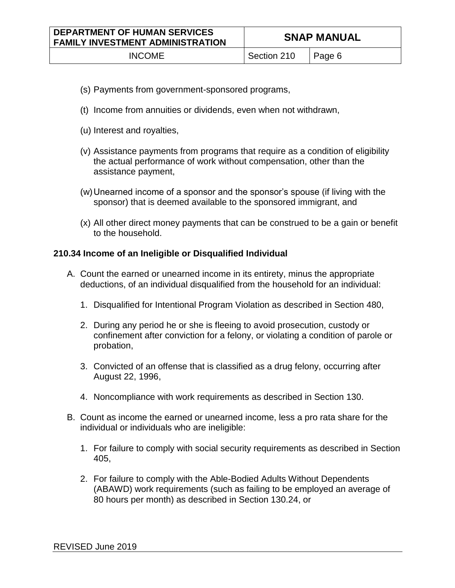- (s) Payments from government-sponsored programs,
- (t) Income from annuities or dividends, even when not withdrawn,
- (u) Interest and royalties,
- (v) Assistance payments from programs that require as a condition of eligibility the actual performance of work without compensation, other than the assistance payment,
- (w)Unearned income of a sponsor and the sponsor's spouse (if living with the sponsor) that is deemed available to the sponsored immigrant, and
- (x) All other direct money payments that can be construed to be a gain or benefit to the household.

### **210.34 Income of an Ineligible or Disqualified Individual**

- A. Count the earned or unearned income in its entirety, minus the appropriate deductions, of an individual disqualified from the household for an individual:
	- 1. Disqualified for Intentional Program Violation as described in Section 480,
	- 2. During any period he or she is fleeing to avoid prosecution, custody or confinement after conviction for a felony, or violating a condition of parole or probation,
	- 3. Convicted of an offense that is classified as a drug felony, occurring after August 22, 1996,
	- 4. Noncompliance with work requirements as described in Section 130.
- B. Count as income the earned or unearned income, less a pro rata share for the individual or individuals who are ineligible:
	- 1. For failure to comply with social security requirements as described in Section 405,
	- 2. For failure to comply with the Able-Bodied Adults Without Dependents (ABAWD) work requirements (such as failing to be employed an average of 80 hours per month) as described in Section 130.24, or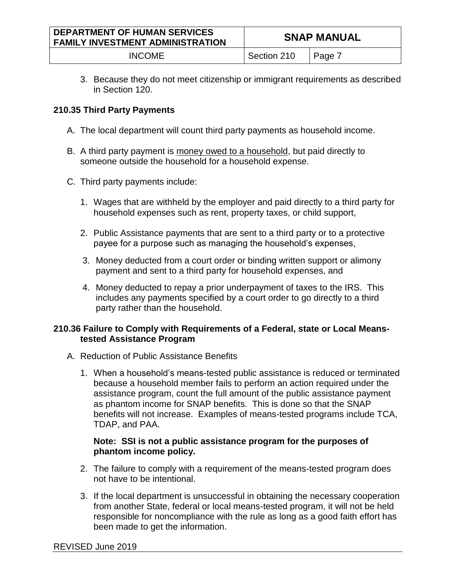| <b>DEPARTMENT OF HUMAN SERVICES</b><br><b>FAMILY INVESTMENT ADMINISTRATION</b> | <b>SNAP MANUAL</b> |          |
|--------------------------------------------------------------------------------|--------------------|----------|
| <b>INCOME</b>                                                                  | Section 210        | ∣ Page 7 |

3. Because they do not meet citizenship or immigrant requirements as described in Section 120.

# **210.35 Third Party Payments**

- A. The local department will count third party payments as household income.
- B. A third party payment is money owed to a household, but paid directly to someone outside the household for a household expense.
- C. Third party payments include:
	- 1. Wages that are withheld by the employer and paid directly to a third party for household expenses such as rent, property taxes, or child support,
	- 2. Public Assistance payments that are sent to a third party or to a protective payee for a purpose such as managing the household's expenses,
	- 3. Money deducted from a court order or binding written support or alimony payment and sent to a third party for household expenses, and
	- 4. Money deducted to repay a prior underpayment of taxes to the IRS. This includes any payments specified by a court order to go directly to a third party rather than the household.

## **210.36 Failure to Comply with Requirements of a Federal, state or Local Meanstested Assistance Program**

- A. Reduction of Public Assistance Benefits
	- 1. When a household's means-tested public assistance is reduced or terminated because a household member fails to perform an action required under the assistance program, count the full amount of the public assistance payment as phantom income for SNAP benefits. This is done so that the SNAP benefits will not increase. Examples of means-tested programs include TCA, TDAP, and PAA.

# **Note: SSI is not a public assistance program for the purposes of phantom income policy.**

- 2. The failure to comply with a requirement of the means-tested program does not have to be intentional.
- 3. If the local department is unsuccessful in obtaining the necessary cooperation from another State, federal or local means-tested program, it will not be held responsible for noncompliance with the rule as long as a good faith effort has been made to get the information.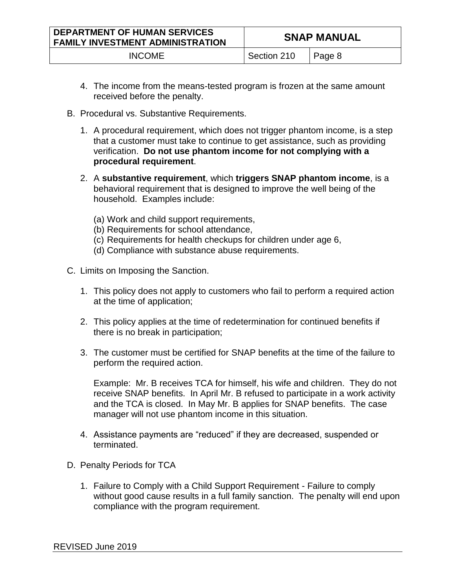| <b>DEPARTMENT OF HUMAN SERVICES</b><br><b>FAMILY INVESTMENT ADMINISTRATION</b> | <b>SNAP MANUAL</b> |        |
|--------------------------------------------------------------------------------|--------------------|--------|
| <b>INCOME</b>                                                                  | Section 210        | Page 8 |

- 4. The income from the means-tested program is frozen at the same amount received before the penalty.
- B. Procedural vs. Substantive Requirements.
	- 1. A procedural requirement, which does not trigger phantom income, is a step that a customer must take to continue to get assistance, such as providing verification. **Do not use phantom income for not complying with a procedural requirement**.
	- 2. A **substantive requirement**, which **triggers SNAP phantom income**, is a behavioral requirement that is designed to improve the well being of the household. Examples include:
		- (a) Work and child support requirements,
		- (b) Requirements for school attendance,
		- (c) Requirements for health checkups for children under age 6,
		- (d) Compliance with substance abuse requirements.
- C. Limits on Imposing the Sanction.
	- 1. This policy does not apply to customers who fail to perform a required action at the time of application;
	- 2. This policy applies at the time of redetermination for continued benefits if there is no break in participation;
	- 3. The customer must be certified for SNAP benefits at the time of the failure to perform the required action.

Example: Mr. B receives TCA for himself, his wife and children. They do not receive SNAP benefits. In April Mr. B refused to participate in a work activity and the TCA is closed. In May Mr. B applies for SNAP benefits. The case manager will not use phantom income in this situation.

- 4. Assistance payments are "reduced" if they are decreased, suspended or terminated.
- D. Penalty Periods for TCA
	- 1. Failure to Comply with a Child Support Requirement Failure to comply without good cause results in a full family sanction. The penalty will end upon compliance with the program requirement.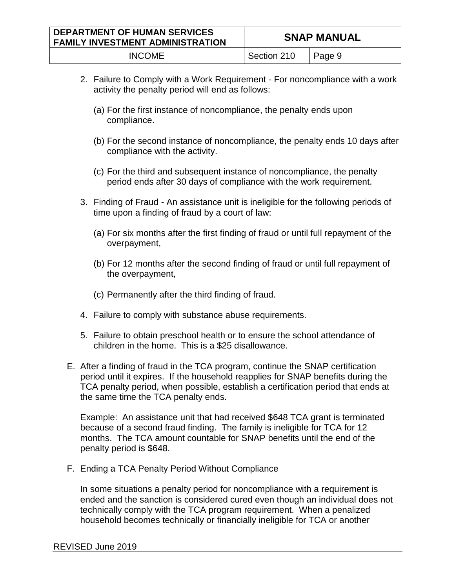| <b>DEPARTMENT OF HUMAN SERVICES</b><br><b>FAMILY INVESTMENT ADMINISTRATION</b> | <b>SNAP MANUAL</b>              |  |
|--------------------------------------------------------------------------------|---------------------------------|--|
| <b>INCOME</b>                                                                  | $\sqrt{2}$ Section 210   Page 9 |  |

- 2. Failure to Comply with a Work Requirement For noncompliance with a work activity the penalty period will end as follows:
	- (a) For the first instance of noncompliance, the penalty ends upon compliance.
	- (b) For the second instance of noncompliance, the penalty ends 10 days after compliance with the activity.
	- (c) For the third and subsequent instance of noncompliance, the penalty period ends after 30 days of compliance with the work requirement.
- 3. Finding of Fraud An assistance unit is ineligible for the following periods of time upon a finding of fraud by a court of law:
	- (a) For six months after the first finding of fraud or until full repayment of the overpayment,
	- (b) For 12 months after the second finding of fraud or until full repayment of the overpayment,
	- (c) Permanently after the third finding of fraud.
- 4. Failure to comply with substance abuse requirements.
- 5. Failure to obtain preschool health or to ensure the school attendance of children in the home. This is a \$25 disallowance.
- E. After a finding of fraud in the TCA program, continue the SNAP certification period until it expires. If the household reapplies for SNAP benefits during the TCA penalty period, when possible, establish a certification period that ends at the same time the TCA penalty ends.

Example: An assistance unit that had received \$648 TCA grant is terminated because of a second fraud finding. The family is ineligible for TCA for 12 months. The TCA amount countable for SNAP benefits until the end of the penalty period is \$648.

F. Ending a TCA Penalty Period Without Compliance

In some situations a penalty period for noncompliance with a requirement is ended and the sanction is considered cured even though an individual does not technically comply with the TCA program requirement. When a penalized household becomes technically or financially ineligible for TCA or another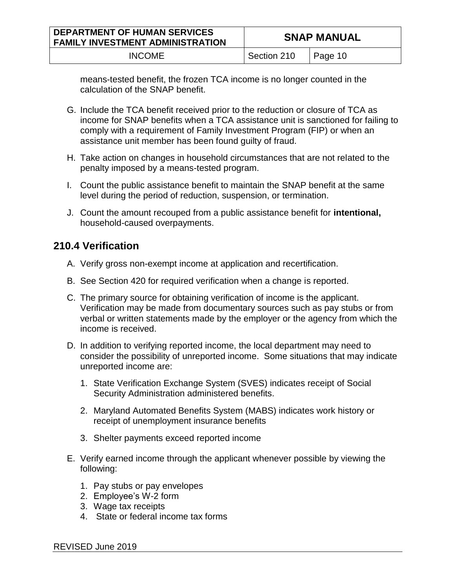| <b>DEPARTMENT OF HUMAN SERVICES</b><br><b>FAMILY INVESTMENT ADMINISTRATION</b> | <b>SNAP MANUAL</b> |                 |
|--------------------------------------------------------------------------------|--------------------|-----------------|
| <b>INCOME</b>                                                                  | Section 210        | $\vert$ Page 10 |

means-tested benefit, the frozen TCA income is no longer counted in the calculation of the SNAP benefit.

- G. Include the TCA benefit received prior to the reduction or closure of TCA as income for SNAP benefits when a TCA assistance unit is sanctioned for failing to comply with a requirement of Family Investment Program (FIP) or when an assistance unit member has been found guilty of fraud.
- H. Take action on changes in household circumstances that are not related to the penalty imposed by a means-tested program.
- I. Count the public assistance benefit to maintain the SNAP benefit at the same level during the period of reduction, suspension, or termination.
- J. Count the amount recouped from a public assistance benefit for **intentional,** household-caused overpayments.

# **210.4 Verification**

- A. Verify gross non-exempt income at application and recertification.
- B. See Section 420 for required verification when a change is reported.
- C. The primary source for obtaining verification of income is the applicant. Verification may be made from documentary sources such as pay stubs or from verbal or written statements made by the employer or the agency from which the income is received.
- D. In addition to verifying reported income, the local department may need to consider the possibility of unreported income. Some situations that may indicate unreported income are:
	- 1. State Verification Exchange System (SVES) indicates receipt of Social Security Administration administered benefits.
	- 2. Maryland Automated Benefits System (MABS) indicates work history or receipt of unemployment insurance benefits
	- 3. Shelter payments exceed reported income
- E. Verify earned income through the applicant whenever possible by viewing the following:
	- 1. Pay stubs or pay envelopes
	- 2. Employee's W-2 form
	- 3. Wage tax receipts
	- 4. State or federal income tax forms